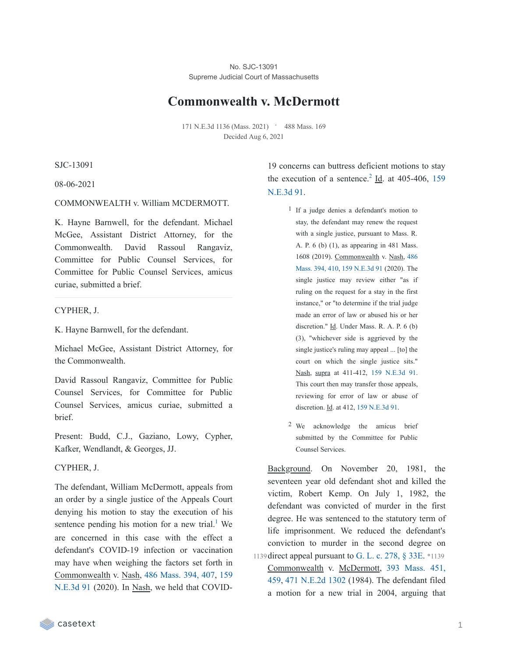No. SJC-13091 Supreme Judicial Court of Massachusetts

# **Commonwealth v. McDermott**

171 N.E.3d 1136 (Mass. 2021) • 488 Mass. 169 Decided Aug 6, 2021

SJC-13091

08-06-2021

### COMMONWEALTH v. William MCDERMOTT.

K. Hayne Barnwell, for the defendant. Michael McGee, Assistant District Attorney, for the Commonwealth. David Rassoul Rangaviz, Committee for Public Counsel Services, for Committee for Public Counsel Services, amicus curiae, submitted a brief.

#### CYPHER, J.

K. Hayne Barnwell, for the defendant.

Michael McGee, Assistant District Attorney, for the Commonwealth.

David Rassoul Rangaviz, Committee for Public Counsel Services, for Committee for Public Counsel Services, amicus curiae, submitted a brief.

Present: Budd, C.J., Gaziano, Lowy, Cypher, Kafker, Wendlandt, & Georges, JJ.

#### CYPHER, J.

The defendant, William McDermott, appeals from an order by a single justice of the Appeals Court denying his motion to stay the execution of his sentence pending his motion for a new trial.<sup>[1](https://casetext.com/_print/doc/commonwealth-v-mcdermott-17?_printIncludeHighlights=false&_printIncludeKeyPassages=false&_printIsTwoColumn=true&_printEmail=&_printHighlightsKey=#N196626)</sup> We are concerned in this case with the effect a defendant's COVID-19 infection or vaccination may have when weighing the factors set forth in [Commonwealth](https://casetext.com/case/commonwealth-v-commonwealth-25) v. Nash, 486 [Mass.](https://casetext.com/case/commonwealth-v-commonwealth-25#p407) 394, 407, 159 N.E.3d 91 (2020). In Nash, we held that COVID-

19 concerns can buttress deficient motions to stay the [execution](https://casetext.com/case/commonwealth-v-commonwealth-25) of a sentence.<sup>[2](https://casetext.com/_print/doc/commonwealth-v-mcdermott-17?_printIncludeHighlights=false&_printIncludeKeyPassages=false&_printIsTwoColumn=true&_printEmail=&_printHighlightsKey=#N196640)</sup> Id. at 405-406, 159 N.E.3d 91.

- 1 If a judge denies a defendant's motion to stay, the defendant may renew the request with a single justice, pursuant to Mass. R. A. P. 6 (b) (1), as appearing in 481 Mass. 1608 (2019). [Commonwealth](https://casetext.com/case/commonwealth-v-commonwealth-25#p410) v. Nash, 486 Mass. 394, 410, 159 [N.E.3d](https://casetext.com/case/commonwealth-v-commonwealth-25) 91 (2020). The single justice may review either "as if ruling on the request for a stay in the first instance," or "to determine if the trial judge made an error of law or abused his or her discretion." Id. Under Mass. R. A. P. 6 (b) (3), "whichever side is aggrieved by the single justice's ruling may appeal ... [to] the court on which the single justice sits." Nash, supra at 411-412, 159 [N.E.3d](https://casetext.com/case/commonwealth-v-commonwealth-25) 91. This court then may transfer those appeals, reviewing for error of law or abuse of discretion. Id. at 412, 159 [N.E.3d](https://casetext.com/case/commonwealth-v-commonwealth-25) 91.
- 2 We acknowledge the amicus brief submitted by the Committee for Public Counsel Services.

Background. On November 20, 1981, the seventeen year old defendant shot and killed the victim, Robert Kemp. On July 1, 1982, the defendant was convicted of murder in the first degree. He was sentenced to the statutory term of life imprisonment. We reduced the defendant's conviction to murder in the second degree on 1139 direct appeal pursuant to G. L. c. [278,](https://casetext.com/statute/general-laws-of-massachusetts/part-iv-crimes-punishments-and-proceedings-in-criminal-cases/title-ii-proceedings-in-criminal-cases/chapter-278-trials-and-proceedings-before-judgment/section-27833e-capital-cases-review-by-supreme-judicial-court) § 33E. \*1139 [Commonwealth](https://casetext.com/case/commonwealth-v-mcdermott#p459) v. McDermott, 393 Mass. 451,

459, 471 [N.E.2d](https://casetext.com/case/commonwealth-v-mcdermott) 1302 (1984). The defendant filed a motion for a new trial in 2004, arguing that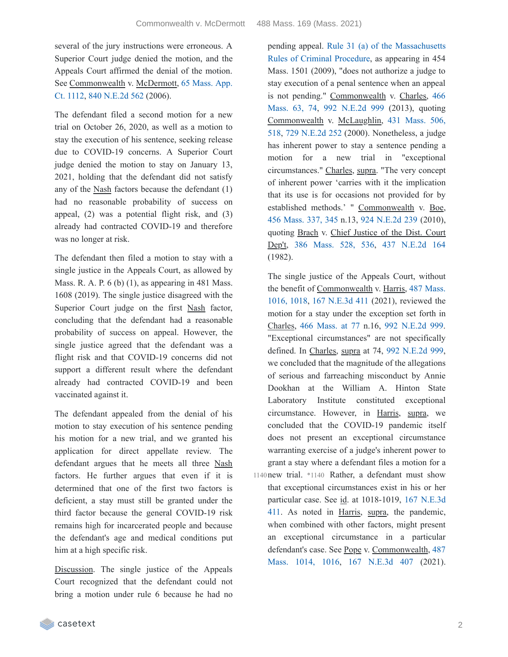several of the jury instructions were erroneous. A Superior Court judge denied the motion, and the Appeals Court affirmed the denial of the motion. See [Commonwealth](https://casetext.com/case/commonwealth-v-mcdermott-2) v. McDermott, 65 Mass. App. Ct. 1112, 840 [N.E.2d](https://casetext.com/case/commonwealth-v-mcdermott-2) 562 (2006).

The defendant filed a second motion for a new trial on October 26, 2020, as well as a motion to stay the execution of his sentence, seeking release due to COVID-19 concerns. A Superior Court judge denied the motion to stay on January 13, 2021, holding that the defendant did not satisfy any of the Nash factors because the defendant (1) had no reasonable probability of success on appeal, (2) was a potential flight risk, and (3) already had contracted COVID-19 and therefore was no longer at risk.

The defendant then filed a motion to stay with a single justice in the Appeals Court, as allowed by Mass. R. A. P.  $6$  (b) (1), as appearing in 481 Mass. 1608 (2019). The single justice disagreed with the Superior Court judge on the first Nash factor, concluding that the defendant had a reasonable probability of success on appeal. However, the single justice agreed that the defendant was a flight risk and that COVID-19 concerns did not support a different result where the defendant already had contracted COVID-19 and been vaccinated against it.

The defendant appealed from the denial of his motion to stay execution of his sentence pending his motion for a new trial, and we granted his application for direct appellate review. The defendant argues that he meets all three Nash factors. He further argues that even if it is determined that one of the first two factors is deficient, a stay must still be granted under the third factor because the general COVID-19 risk remains high for incarcerated people and because the defendant's age and medical conditions put him at a high specific risk.

Discussion. The single justice of the Appeals Court recognized that the defendant could not bring a motion under rule 6 because he had no

pending appeal. Rule 31 (a) of the [Massachusetts](https://casetext.com/rule/massachusetts-court-rules/massachusetts-rules-of-criminal-procedure/rule-31-stay-of-execution-relief-pending-review-automatic-expiration-of-stay) Rules of Criminal Procedure, as appearing in 454 Mass. 1501 (2009), "does not authorize a judge to stay execution of a penal sentence when an appeal is not pending." [Commonwealth](https://casetext.com/case/commonwealth-v-charles-25#p74) v. Charles, 466 Mass. 63, 74, 992 [N.E.2d](https://casetext.com/case/commonwealth-v-charles-25) 999 (2013), quoting [Commonwealth](https://casetext.com/case/commonwealth-v-mclaughlin-3#p518) v. McLaughlin, 431 Mass. 506, 518, 729 [N.E.2d](https://casetext.com/case/commonwealth-v-mclaughlin-3) 252 (2000). Nonetheless, a judge has inherent power to stay a sentence pending a motion for a new trial in "exceptional circumstances." Charles, supra. "The very concept of inherent power 'carries with it the implication that its use is for occasions not provided for by established methods.' " Commonwealth v. Boe, 456 [Mass.](https://casetext.com/case/commonwealth-v-boe#p345) 337, 345 n.13, 924 [N.E.2d](https://casetext.com/case/commonwealth-v-boe) 239 (2010), quoting Brach v. Chief Justice of the Dist. Court Dep't, 386 [Mass.](https://casetext.com/case/brach-v-chief-justice-of-the-district-court-dept#p536) 528, 536, 437 [N.E.2d](https://casetext.com/case/brach-v-chief-justice-of-the-district-court-dept) 164 (1982).

The single justice of the Appeals Court, without the benefit of [Commonwealth](https://casetext.com/case/commonwealth-v-harris-362#p1018) v. Harris, 487 Mass. 1016, 1018, 167 [N.E.3d](https://casetext.com/case/commonwealth-v-harris-362) 411 (2021), reviewed the motion for a stay under the exception set forth in Charles, 466 [Mass.](https://casetext.com/case/commonwealth-v-charles-25#p77) at 77 n.16, 992 [N.E.2d](https://casetext.com/case/commonwealth-v-charles-25) 999. "Exceptional circumstances" are not specifically defined. In Charles, supra at 74, 992 [N.E.2d](https://casetext.com/case/commonwealth-v-charles-25) 999, we concluded that the magnitude of the allegations of serious and farreaching misconduct by Annie Dookhan at the William A. Hinton State Laboratory Institute constituted exceptional circumstance. However, in Harris, supra, we concluded that the COVID-19 pandemic itself does not present an exceptional circumstance warranting exercise of a judge's inherent power to grant a stay where a defendant files a motion for a 1140 new trial. \*1140 Rather, a defendant must show that exceptional circumstances exist in his or her particular case. See id. at [1018-1019,](https://casetext.com/case/commonwealth-v-harris-362) 167 N.E.3d 411. As noted in Harris, supra, the pandemic, when combined with other factors, might present an exceptional circumstance in a particular defendant's case. See Pope v. [Commonwealth,](https://casetext.com/case/pope-v-commonwealth-98#p1016) 487 Mass. 1014, 1016, 167 [N.E.3d](https://casetext.com/case/pope-v-commonwealth-98) 407 (2021).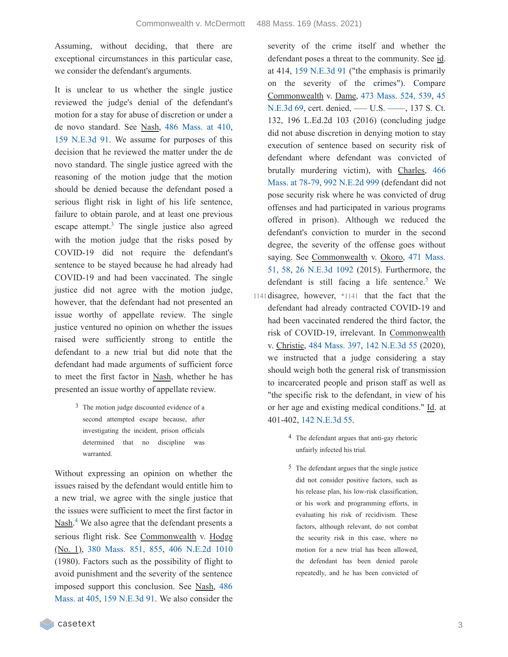Assuming, without deciding, that there are exceptional circumstances in this particular case, we consider the defendant's arguments.

It is unclear to us whether the single justice reviewed the judge's denial of the defendant's motion for a stay for abuse of discretion or under a de novo standard. See Nash, 486 [Mass.](https://casetext.com/case/commonwealth-v-commonwealth-25#p410) at 410, 159 [N.E.3d](https://casetext.com/case/commonwealth-v-commonwealth-25) 91. We assume for purposes of this decision that he reviewed the matter under the de novo standard. The single justice agreed with the reasoning of the motion judge that the motion should be denied because the defendant posed a serious flight risk in light of his life sentence, failure to obtain parole, and at least one previous escape attempt.<sup>[3](https://casetext.com/_print/doc/commonwealth-v-mcdermott-17?_printIncludeHighlights=false&_printIncludeKeyPassages=false&_printIsTwoColumn=true&_printEmail=&_printHighlightsKey=#N196768)</sup> The single justice also agreed with the motion judge that the risks posed by COVID-19 did not require the defendant's sentence to be stayed because he had already had COVID-19 and had been vaccinated. The single justice did not agree with the motion judge, however, that the defendant had not presented an issue worthy of appellate review. The single justice ventured no opinion on whether the issues raised were sufficiently strong to entitle the defendant to a new trial but did note that the defendant had made arguments of sufficient force to meet the first factor in Nash, whether he has presented an issue worthy of appellate review.

> 3 The motion judge discounted evidence of a second attempted escape because, after investigating the incident, prison officials determined that no discipline was warranted.

Without expressing an opinion on whether the issues raised by the defendant would entitle him to a new trial, we agree with the single justice that the issues were sufficient to meet the first factor in Nash.<sup>[4](https://casetext.com/_print/doc/commonwealth-v-mcdermott-17?_printIncludeHighlights=false&_printIncludeKeyPassages=false&_printIsTwoColumn=true&_printEmail=&_printHighlightsKey=#N196781)</sup> We also agree that the defendant presents a serious flight risk. See Commonwealth v. Hodge (No. 1), 380 [Mass.](https://casetext.com/case/commonwealth-v-hodge-no-1#p855) 851, 855, 406 [N.E.2d](https://casetext.com/case/commonwealth-v-hodge-no-1) 1010 (1980). Factors such as the possibility of flight to avoid punishment and the severity of the sentence imposed support this [conclusion.](https://casetext.com/case/commonwealth-v-commonwealth-25#p405) See Nash, 486 Mass. at 405, 159 [N.E.3d](https://casetext.com/case/commonwealth-v-commonwealth-25) 91. We also consider the

severity of the crime itself and whether the defendant poses a threat to the community. See id. at 414, 159 [N.E.3d](https://casetext.com/case/commonwealth-v-commonwealth-25) 91 ("the emphasis is primarily on the severity of the crimes"). Compare [Commonwealth](https://casetext.com/case/commonwealth-v-dame) v. Dame, 473 [Mass.](https://casetext.com/case/commonwealth-v-dame#p539) 524, 539, 45 N.E.3d 69, cert. denied, — U.S. — , 137 S. Ct. 132, 196 L.Ed.2d 103 (2016) (concluding judge did not abuse discretion in denying motion to stay execution of sentence based on security risk of defendant where defendant was convicted of brutally murdering victim), with Charles, 466 Mass. at 78-79, 992 [N.E.2d](https://casetext.com/case/commonwealth-v-charles-25) 999 [\(defendant](https://casetext.com/case/commonwealth-v-charles-25#p78) did not pose security risk where he was convicted of drug offenses and had participated in various programs offered in prison). Although we reduced the defendant's conviction to murder in the second degree, the severity of the offense goes without saying. See [Commonwealth](https://casetext.com/case/commonwealth-v-okoro-1#p58) v. Okoro, 471 Mass. 51, 58, 26 [N.E.3d](https://casetext.com/case/commonwealth-v-okoro-1) 1092 (2015). Furthermore, the defendant is still facing a life sentence.<sup>[5](https://casetext.com/_print/doc/commonwealth-v-mcdermott-17?_printIncludeHighlights=false&_printIncludeKeyPassages=false&_printIsTwoColumn=true&_printEmail=&_printHighlightsKey=#N196813)</sup> We

- 1141 disagree, however, \*1141 that the fact that the defendant had already contracted COVID-19 and had been vaccinated rendered the third factor, the risk of COVID-19, irrelevant. In Commonwealth v. Christie, 484 [Mass.](https://casetext.com/case/christie-v-commonwealth) 397, 142 [N.E.3d](https://casetext.com/case/christie-v-commonwealth) 55 (2020), we instructed that a judge considering a stay should weigh both the general risk of transmission to incarcerated people and prison staff as well as "the specific risk to the defendant, in view of his or her age and existing medical conditions." Id. at 401-402, 142 [N.E.3d](https://casetext.com/case/christie-v-commonwealth) 55.
	- 4 The defendant argues that anti-gay rhetoric unfairly infected his trial.
	- 5 The defendant argues that the single justice did not consider positive factors, such as his release plan, his low-risk classification, or his work and programming efforts, in evaluating his risk of recidivism. These factors, although relevant, do not combat the security risk in this case, where no motion for a new trial has been allowed, the defendant has been denied parole repeatedly, and he has been convicted of